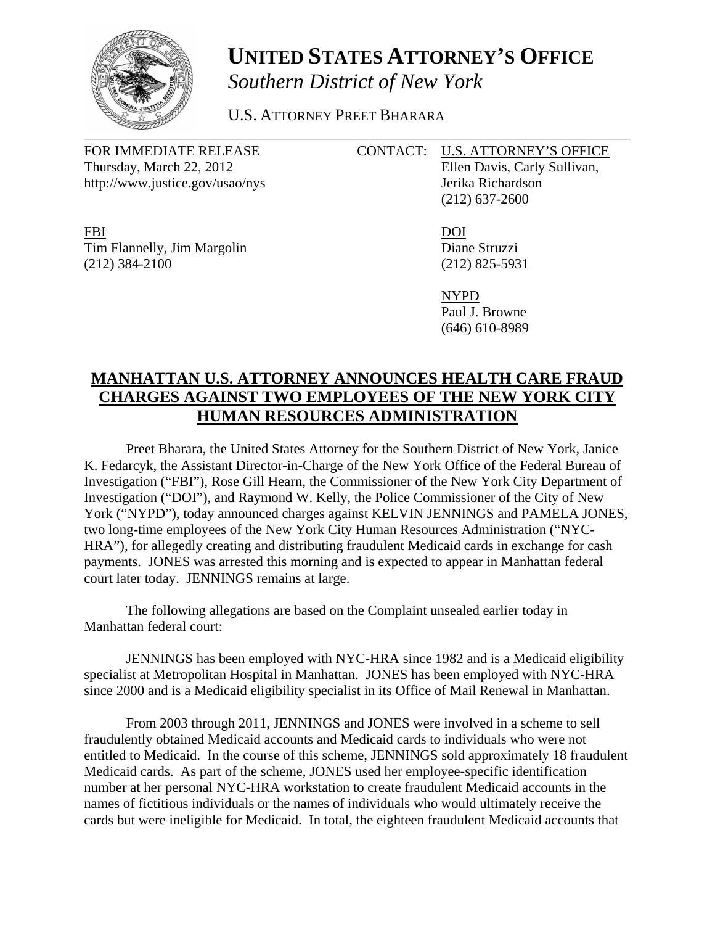

## **UNITED STATES ATTORNEY'S OFFICE** *Southern District of New York*

U.S. ATTORNEY PREET BHARARA

Thursday, March 22, 2012 Ellen Davis, Carly Sullivan, http://www.justice.gov/usao/nys Jerika Richardson

FBI DOI Tim Flannelly, Jim Margolin Diane Struzzi (212) 384-2100 (212) 825-5931

## FOR IMMEDIATE RELEASE CONTACT: U.S. ATTORNEY'S OFFICE

(212) 637-2600

 NYPD Paul J. Browne (646) 610-8989

## **MANHATTAN U.S. ATTORNEY ANNOUNCES HEALTH CARE FRAUD CHARGES AGAINST TWO EMPLOYEES OF THE NEW YORK CITY HUMAN RESOURCES ADMINISTRATION**

 Preet Bharara, the United States Attorney for the Southern District of New York, Janice K. Fedarcyk, the Assistant Director-in-Charge of the New York Office of the Federal Bureau of Investigation ("FBI"), Rose Gill Hearn, the Commissioner of the New York City Department of Investigation ("DOI"), and Raymond W. Kelly, the Police Commissioner of the City of New York ("NYPD"), today announced charges against KELVIN JENNINGS and PAMELA JONES, two long-time employees of the New York City Human Resources Administration ("NYC-HRA"), for allegedly creating and distributing fraudulent Medicaid cards in exchange for cash payments. JONES was arrested this morning and is expected to appear in Manhattan federal court later today. JENNINGS remains at large.

 The following allegations are based on the Complaint unsealed earlier today in Manhattan federal court:

 JENNINGS has been employed with NYC-HRA since 1982 and is a Medicaid eligibility specialist at Metropolitan Hospital in Manhattan. JONES has been employed with NYC-HRA since 2000 and is a Medicaid eligibility specialist in its Office of Mail Renewal in Manhattan.

 From 2003 through 2011, JENNINGS and JONES were involved in a scheme to sell fraudulently obtained Medicaid accounts and Medicaid cards to individuals who were not entitled to Medicaid. In the course of this scheme, JENNINGS sold approximately 18 fraudulent Medicaid cards. As part of the scheme, JONES used her employee-specific identification number at her personal NYC-HRA workstation to create fraudulent Medicaid accounts in the names of fictitious individuals or the names of individuals who would ultimately receive the cards but were ineligible for Medicaid. In total, the eighteen fraudulent Medicaid accounts that